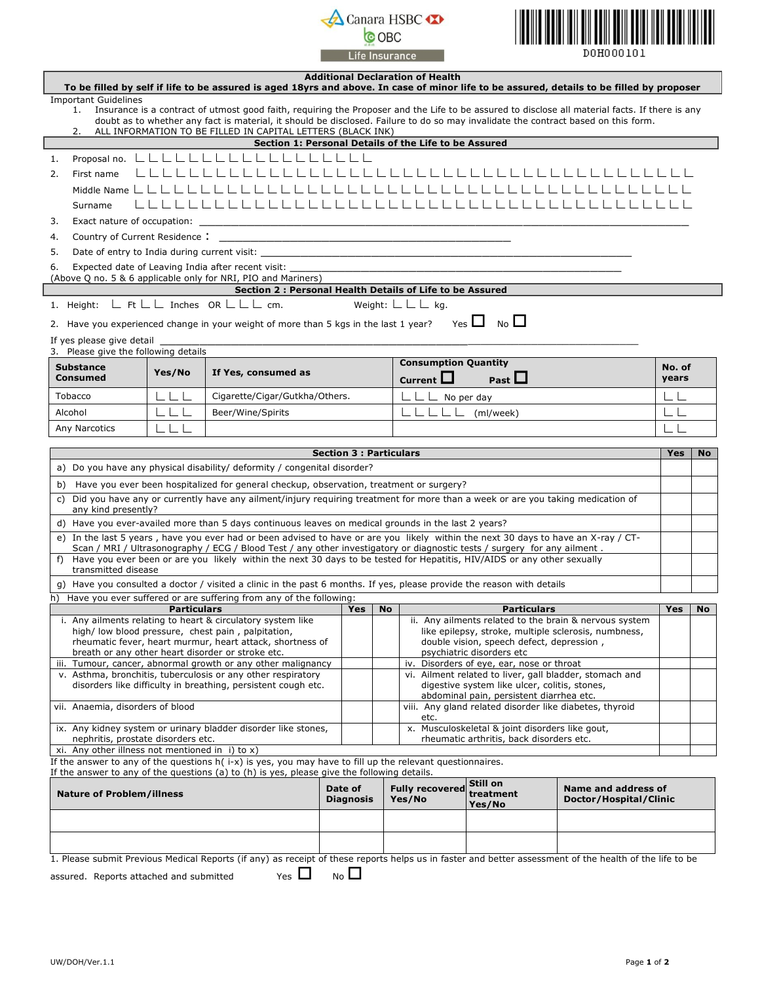## **A** Canara HSBC **D** Life Insurance



|                                                                                                                                                                                          |                         | To be filled by self if life to be assured is aged 18yrs and above. In case of minor life to be assured, details to be filled by proposer                                                                                                                                                                                                            |                                          | <b>Additional Declaration of Health</b>                  |                                                 |                                                         |                 |           |
|------------------------------------------------------------------------------------------------------------------------------------------------------------------------------------------|-------------------------|------------------------------------------------------------------------------------------------------------------------------------------------------------------------------------------------------------------------------------------------------------------------------------------------------------------------------------------------------|------------------------------------------|----------------------------------------------------------|-------------------------------------------------|---------------------------------------------------------|-----------------|-----------|
| <b>Important Guidelines</b>                                                                                                                                                              |                         |                                                                                                                                                                                                                                                                                                                                                      |                                          |                                                          |                                                 |                                                         |                 |           |
| 1.<br>2.                                                                                                                                                                                 |                         | Insurance is a contract of utmost good faith, requiring the Proposer and the Life to be assured to disclose all material facts. If there is any<br>doubt as to whether any fact is material, it should be disclosed. Failure to do so may invalidate the contract based on this form.<br>ALL INFORMATION TO BE FILLED IN CAPITAL LETTERS (BLACK INK) |                                          |                                                          |                                                 |                                                         |                 |           |
|                                                                                                                                                                                          |                         |                                                                                                                                                                                                                                                                                                                                                      |                                          | Section 1: Personal Details of the Life to be Assured    |                                                 |                                                         |                 |           |
| Proposal no.<br>1.                                                                                                                                                                       |                         |                                                                                                                                                                                                                                                                                                                                                      |                                          |                                                          |                                                 |                                                         |                 |           |
| 2.<br>First name                                                                                                                                                                         |                         |                                                                                                                                                                                                                                                                                                                                                      |                                          |                                                          |                                                 |                                                         |                 |           |
| Middle Name L                                                                                                                                                                            |                         |                                                                                                                                                                                                                                                                                                                                                      |                                          |                                                          |                                                 |                                                         |                 |           |
| Surname                                                                                                                                                                                  |                         |                                                                                                                                                                                                                                                                                                                                                      |                                          |                                                          |                                                 |                                                         |                 |           |
| Exact nature of occupation:<br>3.                                                                                                                                                        |                         |                                                                                                                                                                                                                                                                                                                                                      |                                          |                                                          |                                                 |                                                         |                 |           |
| Country of Current Residence:<br>4.                                                                                                                                                      |                         | <u> 1989 - Johann John Stein, markin fan it ferstjer fan de ferstjer fan it ferstjer fan it ferstjer fan it fers</u>                                                                                                                                                                                                                                 |                                          |                                                          |                                                 |                                                         |                 |           |
| 5.<br>6.                                                                                                                                                                                 |                         | Expected date of Leaving India after recent visit:                                                                                                                                                                                                                                                                                                   |                                          |                                                          |                                                 |                                                         |                 |           |
|                                                                                                                                                                                          |                         | (Above Q no. 5 & 6 applicable only for NRI, PIO and Mariners)                                                                                                                                                                                                                                                                                        |                                          |                                                          |                                                 |                                                         |                 |           |
|                                                                                                                                                                                          |                         | Section 2 : Personal Health Details of Life to be Assured                                                                                                                                                                                                                                                                                            |                                          |                                                          |                                                 |                                                         |                 |           |
| 1. Height: L Ft L L Inches OR L L L cm.                                                                                                                                                  |                         |                                                                                                                                                                                                                                                                                                                                                      |                                          | Weight: $L L L$ kg.                                      |                                                 |                                                         |                 |           |
|                                                                                                                                                                                          |                         | 2. Have you experienced change in your weight of more than 5 kgs in the last 1 year?                                                                                                                                                                                                                                                                 |                                          |                                                          | Yes $\Box$ No $\Box$                            |                                                         |                 |           |
| If yes please give detail                                                                                                                                                                |                         |                                                                                                                                                                                                                                                                                                                                                      |                                          |                                                          |                                                 |                                                         |                 |           |
| 3. Please give the following details                                                                                                                                                     |                         |                                                                                                                                                                                                                                                                                                                                                      |                                          | <b>Consumption Quantity</b>                              |                                                 |                                                         |                 |           |
| <b>Substance</b><br><b>Consumed</b>                                                                                                                                                      | Yes/No                  | If Yes, consumed as                                                                                                                                                                                                                                                                                                                                  |                                          | Current $\Box$                                           | Past $\Box$                                     |                                                         | No. of<br>years |           |
| Tobacco                                                                                                                                                                                  |                         | Cigarette/Cigar/Gutkha/Others.                                                                                                                                                                                                                                                                                                                       |                                          | $\Box$ $\Box$ No per day                                 |                                                 |                                                         |                 |           |
| Alcohol                                                                                                                                                                                  |                         | Beer/Wine/Spirits                                                                                                                                                                                                                                                                                                                                    |                                          |                                                          | (ml/week)                                       |                                                         |                 |           |
| Any Narcotics                                                                                                                                                                            | $L_{-}$ $L_{-}$ $L_{-}$ |                                                                                                                                                                                                                                                                                                                                                      |                                          |                                                          |                                                 |                                                         | ШI              |           |
|                                                                                                                                                                                          |                         |                                                                                                                                                                                                                                                                                                                                                      |                                          |                                                          |                                                 |                                                         |                 |           |
|                                                                                                                                                                                          |                         |                                                                                                                                                                                                                                                                                                                                                      | <b>Section 3 : Particulars</b>           |                                                          |                                                 |                                                         | <b>Yes</b>      | No        |
|                                                                                                                                                                                          |                         | a) Do you have any physical disability/ deformity / congenital disorder?                                                                                                                                                                                                                                                                             |                                          |                                                          |                                                 |                                                         |                 |           |
|                                                                                                                                                                                          |                         | b) Have you ever been hospitalized for general checkup, observation, treatment or surgery?                                                                                                                                                                                                                                                           |                                          |                                                          |                                                 |                                                         |                 |           |
| c) Did you have any or currently have any ailment/injury requiring treatment for more than a week or are you taking medication of<br>any kind presently?                                 |                         |                                                                                                                                                                                                                                                                                                                                                      |                                          |                                                          |                                                 |                                                         |                 |           |
|                                                                                                                                                                                          |                         | d) Have you ever-availed more than 5 days continuous leaves on medical grounds in the last 2 years?                                                                                                                                                                                                                                                  |                                          |                                                          |                                                 |                                                         |                 |           |
|                                                                                                                                                                                          |                         | e) In the last 5 years, have you ever had or been advised to have or are you likely within the next 30 days to have an X-ray / CT-                                                                                                                                                                                                                   |                                          |                                                          |                                                 |                                                         |                 |           |
|                                                                                                                                                                                          |                         | Scan / MRI / Ultrasonography / ECG / Blood Test / any other investigatory or diagnostic tests / surgery for any ailment.<br>f) Have you ever been or are you likely within the next 30 days to be tested for Hepatitis, HIV/AIDS or any other sexually                                                                                               |                                          |                                                          |                                                 |                                                         |                 |           |
| transmitted disease                                                                                                                                                                      |                         |                                                                                                                                                                                                                                                                                                                                                      |                                          |                                                          |                                                 |                                                         |                 |           |
|                                                                                                                                                                                          |                         | g) Have you consulted a doctor / visited a clinic in the past 6 months. If yes, please provide the reason with details                                                                                                                                                                                                                               |                                          |                                                          |                                                 |                                                         |                 |           |
|                                                                                                                                                                                          |                         | h) Have you ever suffered or are suffering from any of the following:                                                                                                                                                                                                                                                                                |                                          |                                                          |                                                 |                                                         |                 |           |
|                                                                                                                                                                                          | <b>Particulars</b>      | i. Any ailments relating to heart & circulatory system like                                                                                                                                                                                                                                                                                          | Yes                                      | <b>No</b>                                                | <b>Particulars</b>                              | ii. Any ailments related to the brain & nervous system  | Yes             | <b>No</b> |
|                                                                                                                                                                                          |                         | high/low blood pressure, chest pain, palpitation,                                                                                                                                                                                                                                                                                                    |                                          |                                                          |                                                 | like epilepsy, stroke, multiple sclerosis, numbness,    |                 |           |
| rheumatic fever, heart murmur, heart attack, shortness of<br>double vision, speech defect, depression,<br>breath or any other heart disorder or stroke etc.<br>psychiatric disorders etc |                         |                                                                                                                                                                                                                                                                                                                                                      |                                          |                                                          |                                                 |                                                         |                 |           |
| Disorders of eye, ear, nose or throat<br>iii. Tumour, cancer, abnormal growth or any other malignancy<br>iv.                                                                             |                         |                                                                                                                                                                                                                                                                                                                                                      |                                          |                                                          |                                                 |                                                         |                 |           |
|                                                                                                                                                                                          |                         | v. Asthma, bronchitis, tuberculosis or any other respiratory                                                                                                                                                                                                                                                                                         |                                          |                                                          | digestive system like ulcer, colitis, stones,   | vi. Ailment related to liver, gall bladder, stomach and |                 |           |
| disorders like difficulty in breathing, persistent cough etc.                                                                                                                            |                         |                                                                                                                                                                                                                                                                                                                                                      | abdominal pain, persistent diarrhea etc. |                                                          |                                                 |                                                         |                 |           |
| vii. Anaemia, disorders of blood                                                                                                                                                         |                         |                                                                                                                                                                                                                                                                                                                                                      |                                          | etc.                                                     |                                                 | viii. Any gland related disorder like diabetes, thyroid |                 |           |
| ix. Any kidney system or urinary bladder disorder like stones,                                                                                                                           |                         |                                                                                                                                                                                                                                                                                                                                                      |                                          |                                                          | x. Musculoskeletal & joint disorders like gout, |                                                         |                 |           |
| nephritis, prostate disorders etc.<br>xi. Any other illness not mentioned in i) to $x$ )                                                                                                 |                         |                                                                                                                                                                                                                                                                                                                                                      |                                          |                                                          | rheumatic arthritis, back disorders etc.        |                                                         |                 |           |
|                                                                                                                                                                                          |                         | If the answer to any of the questions $h(i-x)$ is yes, you may have to fill up the relevant questionnaires.                                                                                                                                                                                                                                          |                                          |                                                          |                                                 |                                                         |                 |           |
|                                                                                                                                                                                          |                         | If the answer to any of the questions (a) to (h) is yes, please give the following details.                                                                                                                                                                                                                                                          |                                          |                                                          | Still on                                        |                                                         |                 |           |
| <b>Nature of Problem/illness</b>                                                                                                                                                         |                         |                                                                                                                                                                                                                                                                                                                                                      | <b>Diagnosis</b>                         | Date of<br><b>Fully recovered</b><br>treatment<br>Yes/No |                                                 | Name and address of<br>Doctor/Hospital/Clinic           |                 |           |
|                                                                                                                                                                                          |                         |                                                                                                                                                                                                                                                                                                                                                      |                                          |                                                          | Yes/No                                          |                                                         |                 |           |
|                                                                                                                                                                                          |                         |                                                                                                                                                                                                                                                                                                                                                      |                                          |                                                          |                                                 |                                                         |                 |           |
|                                                                                                                                                                                          |                         |                                                                                                                                                                                                                                                                                                                                                      |                                          |                                                          |                                                 |                                                         |                 |           |
|                                                                                                                                                                                          |                         | 1. Please submit Previous Medical Reports (if any) as receipt of these reports helps us in faster and better assessment of the health of the life to be                                                                                                                                                                                              |                                          |                                                          |                                                 |                                                         |                 |           |
| assured. Reports attached and submitted                                                                                                                                                  |                         | Yes $\Box$                                                                                                                                                                                                                                                                                                                                           | N <sub>o</sub>                           |                                                          |                                                 |                                                         |                 |           |